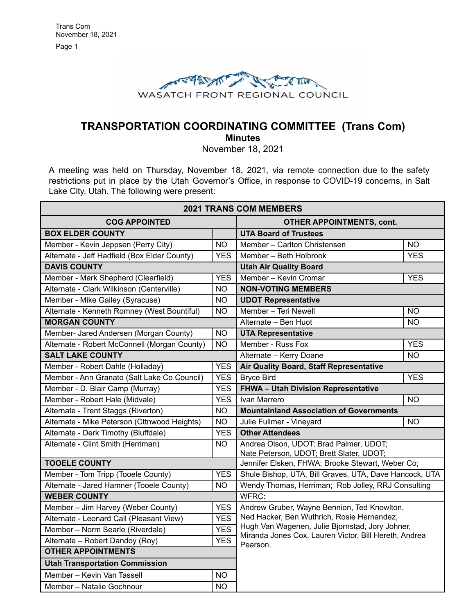

# **TRANSPORTATION COORDINATING COMMITTEE (Trans Com)**

**Minutes**

November 18, 2021

A meeting was held on Thursday, November 18, 2021, via remote connection due to the safety restrictions put in place by the Utah Governor's Office, in response to COVID-19 concerns, in Salt Lake City, Utah. The following were present:

| <b>2021 TRANS COM MEMBERS</b>                |            |                                                                                                          |                |
|----------------------------------------------|------------|----------------------------------------------------------------------------------------------------------|----------------|
| <b>COG APPOINTED</b>                         |            | <b>OTHER APPOINTMENTS, cont.</b>                                                                         |                |
| <b>BOX ELDER COUNTY</b>                      |            | <b>UTA Board of Trustees</b>                                                                             |                |
| Member - Kevin Jeppsen (Perry City)          | <b>NO</b>  | Member - Carlton Christensen                                                                             | <b>NO</b>      |
| Alternate - Jeff Hadfield (Box Elder County) | <b>YES</b> | Member - Beth Holbrook                                                                                   | <b>YES</b>     |
| <b>DAVIS COUNTY</b>                          |            | <b>Utah Air Quality Board</b>                                                                            |                |
| Member - Mark Shepherd (Clearfield)          | <b>YES</b> | Member - Kevin Cromar                                                                                    | <b>YES</b>     |
| Alternate - Clark Wilkinson (Centerville)    | <b>NO</b>  | <b>NON-VOTING MEMBERS</b>                                                                                |                |
| Member - Mike Gailey (Syracuse)              | <b>NO</b>  | <b>UDOT Representative</b>                                                                               |                |
| Alternate - Kenneth Romney (West Bountiful)  | <b>NO</b>  | Member - Teri Newell                                                                                     | <b>NO</b>      |
| <b>MORGAN COUNTY</b>                         |            | Alternate - Ben Huot                                                                                     | NO.            |
| Member- Jared Andersen (Morgan County)       | <b>NO</b>  | <b>UTA Representative</b>                                                                                |                |
| Alternate - Robert McConnell (Morgan County) | <b>NO</b>  | Member - Russ Fox                                                                                        | <b>YES</b>     |
| <b>SALT LAKE COUNTY</b>                      |            | Alternate - Kerry Doane                                                                                  | N <sub>O</sub> |
| Member - Robert Dahle (Holladay)             | <b>YES</b> | Air Quality Board, Staff Representative                                                                  |                |
| Member - Ann Granato (Salt Lake Co Council)  | <b>YES</b> | <b>Bryce Bird</b>                                                                                        | <b>YES</b>     |
| Member - D. Blair Camp (Murray)              | <b>YES</b> | FHWA - Utah Division Representative                                                                      |                |
| Member - Robert Hale (Midvale)               | <b>YES</b> | Ivan Marrero                                                                                             | <b>NO</b>      |
| Alternate - Trent Staggs (Riverton)          | <b>NO</b>  | <b>Mountainland Association of Governments</b>                                                           |                |
| Alternate - Mike Peterson (Cttnwood Heights) | <b>NO</b>  | Julie Fullmer - Vineyard                                                                                 | <b>NO</b>      |
| Alternate - Derk Timothy (Bluffdale)         | <b>YES</b> | <b>Other Attendees</b>                                                                                   |                |
| Alternate - Clint Smith (Herriman)           | <b>NO</b>  | Andrea Olson, UDOT; Brad Palmer, UDOT;<br>Nate Peterson, UDOT; Brett Slater, UDOT;                       |                |
| <b>TOOELE COUNTY</b>                         |            | Jennifer Elsken, FHWA; Brooke Stewart, Weber Co;                                                         |                |
| Member - Tom Tripp (Tooele County)           | <b>YES</b> | Shule Bishop, UTA, Bill Graves, UTA, Dave Hancock, UTA                                                   |                |
| Alternate - Jared Hamner (Tooele County)     | <b>NO</b>  | Wendy Thomas, Herriman; Rob Jolley, RRJ Consulting                                                       |                |
| <b>WEBER COUNTY</b>                          |            | WFRC:                                                                                                    |                |
| Member - Jim Harvey (Weber County)           | <b>YES</b> | Andrew Gruber, Wayne Bennion, Ted Knowlton,<br>Ned Hacker, Ben Wuthrich, Rosie Hernandez,                |                |
| Alternate - Leonard Call (Pleasant View)     | <b>YES</b> |                                                                                                          |                |
| Member - Norm Searle (Riverdale)             | <b>YES</b> | Hugh Van Wagenen, Julie Bjornstad, Jory Johner,<br>Miranda Jones Cox, Lauren Victor, Bill Hereth, Andrea |                |
| Alternate - Robert Dandoy (Roy)              | <b>YES</b> | Pearson.                                                                                                 |                |
| <b>OTHER APPOINTMENTS</b>                    |            |                                                                                                          |                |
| <b>Utah Transportation Commission</b>        |            |                                                                                                          |                |
| Member - Kevin Van Tassell                   | <b>NO</b>  |                                                                                                          |                |
| Member - Natalie Gochnour                    | <b>NO</b>  |                                                                                                          |                |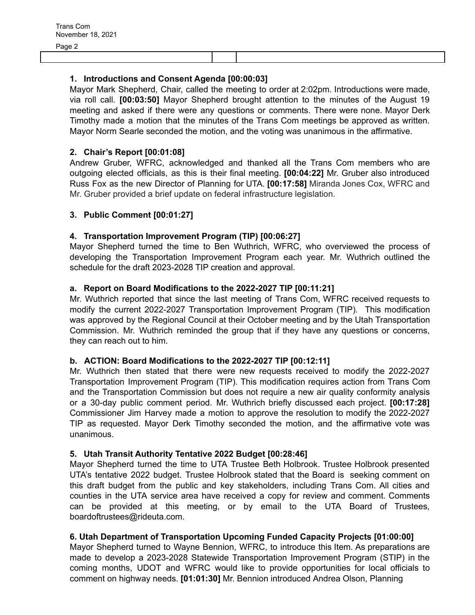### **1. Introductions and Consent Agenda [00:00:03]**

Mayor Mark Shepherd, Chair, called the meeting to order at 2:02pm. Introductions were made, via roll call. **[00:03:50]** Mayor Shepherd brought attention to the minutes of the August 19 meeting and asked if there were any questions or comments. There were none. Mayor Derk Timothy made a motion that the minutes of the Trans Com meetings be approved as written. Mayor Norm Searle seconded the motion, and the voting was unanimous in the affirmative.

#### **2. Chair's Report [00:01:08]**

Andrew Gruber, WFRC, acknowledged and thanked all the Trans Com members who are outgoing elected officials, as this is their final meeting. **[00:04:22]** Mr. Gruber also introduced Russ Fox as the new Director of Planning for UTA. **[00:17:58]** Miranda Jones Cox, WFRC and Mr. Gruber provided a brief update on federal infrastructure legislation.

#### **3. Public Comment [00:01:27]**

## **4. Transportation Improvement Program (TIP) [00:06:27]**

Mayor Shepherd turned the time to Ben Wuthrich, WFRC, who overviewed the process of developing the Transportation Improvement Program each year. Mr. Wuthrich outlined the schedule for the draft 2023-2028 TIP creation and approval.

#### **a. Report on Board Modifications to the 2022-2027 TIP [00:11:21]**

Mr. Wuthrich reported that since the last meeting of Trans Com, WFRC received requests to modify the current 2022-2027 Transportation Improvement Program (TIP). This modification was approved by the Regional Council at their October meeting and by the Utah Transportation Commission. Mr. Wuthrich reminded the group that if they have any questions or concerns, they can reach out to him.

#### **b. ACTION: Board Modifications to the 2022-2027 TIP [00:12:11]**

Mr. Wuthrich then stated that there were new requests received to modify the 2022-2027 Transportation Improvement Program (TIP). This modification requires action from Trans Com and the Transportation Commission but does not require a new air quality conformity analysis or a 30-day public comment period. Mr. Wuthrich briefly discussed each project. **[00:17:28]** Commissioner Jim Harvey made a motion to approve the resolution to modify the 2022-2027 TIP as requested. Mayor Derk Timothy seconded the motion, and the affirmative vote was unanimous.

#### **5. Utah Transit Authority Tentative 2022 Budget [00:28:46]**

Mayor Shepherd turned the time to UTA Trustee Beth Holbrook. Trustee Holbrook presented UTA's tentative 2022 budget. Trustee Holbrook stated that the Board is seeking comment on this draft budget from the public and key stakeholders, including Trans Com. All cities and counties in the UTA service area have received a copy for review and comment. Comments can be provided at this meeting, or by email to the UTA Board of Trustees, boardoftrustees@rideuta.com.

#### **6. Utah Department of Transportation Upcoming Funded Capacity Projects [01:00:00]**

Mayor Shepherd turned to Wayne Bennion, WFRC, to introduce this Item. As preparations are made to develop a 2023-2028 Statewide Transportation Improvement Program (STIP) in the coming months, UDOT and WFRC would like to provide opportunities for local officials to comment on highway needs. **[01:01:30]** Mr. Bennion introduced Andrea Olson, Planning